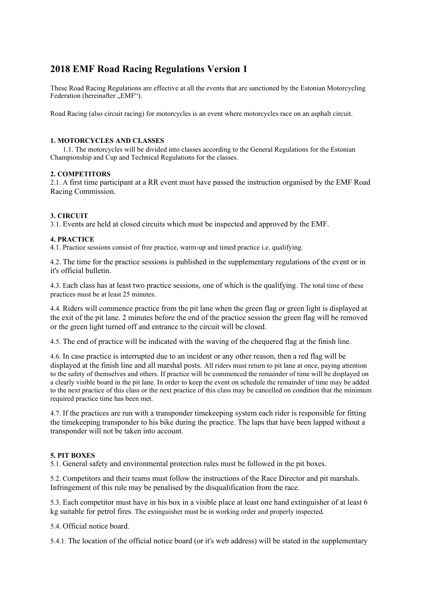# **2018 EMF Road Racing Regulations Version 1**

These Road Racing Regulations are effective at all the events that are sanctioned by the Estonian Motorcycling Federation (hereinafter "EMF").

Road Racing (also circuit racing) for motorcycles is an event where motorcycles race on an asphalt circuit.

# **1. MOTORCYCLES AND CLASSES**

1.1. The motorcycles will be divided into classes according to the General Regulations for the Estonian Championship and Cup and Technical Regulations for the classes.

# **2. COMPETITORS**

2.1. A first time participant at a RR event must have passed the instruction organised by the EMF Road Racing Commission.

# **3. CIRCUIT**

3.1. Events are held at closed circuits which must be inspected and approved by the EMF.

# **4. PRACTICE**

4.1. Practice sessions consist of free practice, warm-up and timed practice i.e. qualifying.

4.2. The time for the practice sessions is published in the supplementary regulations of the event or in it's official bulletin.

4.3. Each class has at least two practice sessions, one of which is the qualifying. The total time of these practices must be at least 25 minutes.

4.4. Riders will commence practice from the pit lane when the green flag or green light is displayed at the exit of the pit lane. 2 minutes before the end of the practice session the green flag will be removed or the green light turned off and entrance to the circuit will be closed.

4.5. The end of practice will be indicated with the waving of the chequered flag at the finish line.

4.6. In case practice is interrupted due to an incident or any other reason, then a red flag will be displayed at the finish line and all marshal posts. All riders must return to pit lane at once, paying attention to the safety of themselves and others. If practice will be commenced the remainder of time will be displayed on a clearly visible board in the pit lane. In order to keep the event on schedule the remainder of time may be added to the next practice of this class or the next practice of this class may be cancelled on condition that the minimum required practice time has been met.

4.7. If the practices are run with a transponder timekeeping system each rider is responsible for fitting the timekeeping transponder to his bike during the practice. The laps that have been lapped without a transponder will not be taken into account.

# **5. PIT BOXES**

5.1. General safety and environmental protection rules must be followed in the pit boxes.

5.2. Competitors and their teams must follow the instructions of the Race Director and pit marshals. Infringement of this rule may be penalised by the disqualification from the race.

5.3. Each competitor must have in his box in a visible place at least one hand extinguisher of at least 6 kg suitable for petrol fires. The extinguisher must be in working order and properly inspected.

5.4. Official notice board.

5.4.1. The location of the official notice board (or it's web address) will be stated in the supplementary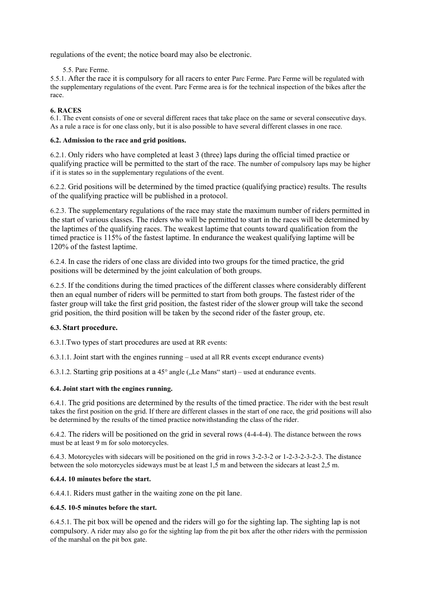regulations of the event; the notice board may also be electronic.

5.5. Parc Ferme.

5.5.1. After the race it is compulsory for all racers to enter Parc Ferme. Parc Ferme will be regulated with the supplementary regulations of the event. Parc Ferme area is for the technical inspection of the bikes after the race.

# **6. RACES**

6.1. The event consists of one or several different races that take place on the same or several consecutive days. As a rule a race is for one class only, but it is also possible to have several different classes in one race.

# **6.2. Admission to the race and grid positions.**

6.2.1. Only riders who have completed at least 3 (three) laps during the official timed practice or qualifying practice will be permitted to the start of the race. The number of compulsory laps may be higher if it is states so in the supplementary regulations of the event.

6.2.2. Grid positions will be determined by the timed practice (qualifying practice) results. The results of the qualifying practice will be published in a protocol.

6.2.3. The supplementary regulations of the race may state the maximum number of riders permitted in the start of various classes. The riders who will be permitted to start in the races will be determined by the laptimes of the qualifying races. The weakest laptime that counts toward qualification from the timed practice is 115% of the fastest laptime. In endurance the weakest qualifying laptime will be 120% of the fastest laptime.

6.2.4. In case the riders of one class are divided into two groups for the timed practice, the grid positions will be determined by the joint calculation of both groups.

6.2.5. If the conditions during the timed practices of the different classes where considerably different then an equal number of riders will be permitted to start from both groups. The fastest rider of the faster group will take the first grid position, the fastest rider of the slower group will take the second grid position, the third position will be taken by the second rider of the faster group, etc.

# **6.3. Start procedure.**

6.3.1.Two types of start procedures are used at RR events:

6.3.1.1. Joint start with the engines running – used at all RR events except endurance events)

6.3.1.2. Starting grip positions at a  $45^{\circ}$  angle ( $L$  Mans" start) – used at endurance events.

# **6.4. Joint start with the engines running.**

6.4.1. The grid positions are determined by the results of the timed practice. The rider with the best result takes the first position on the grid. If there are different classes in the start of one race, the grid positions will also be determined by the results of the timed practice notwithstanding the class of the rider.

6.4.2. The riders will be positioned on the grid in several rows (4-4-4-4). The distance between the rows must be at least 9 m for solo motorcycles.

6.4.3. Motorcycles with sidecars will be positioned on the grid in rows 3-2-3-2 or 1-2-3-2-3-2-3. The distance between the solo motorcycles sideways must be at least 1,5 m and between the sidecars at least 2,5 m.

# **6.4.4. 10 minutes before the start.**

6.4.4.1. Riders must gather in the waiting zone on the pit lane.

# **6.4.5. 10-5 minutes before the start.**

6.4.5.1. The pit box will be opened and the riders will go for the sighting lap. The sighting lap is not compulsory. A rider may also go for the sighting lap from the pit box after the other riders with the permission of the marshal on the pit box gate.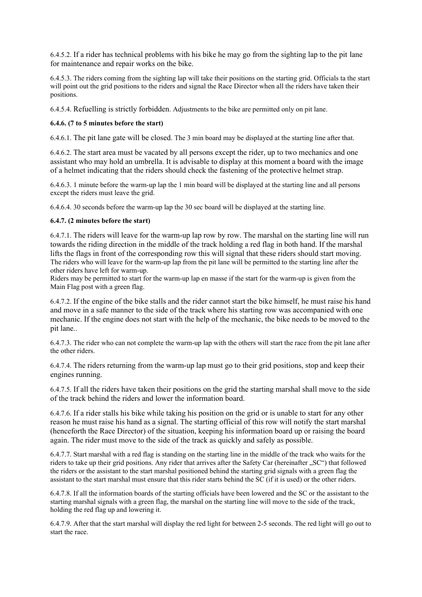6.4.5.2. If a rider has technical problems with his bike he may go from the sighting lap to the pit lane for maintenance and repair works on the bike.

6.4.5.3. The riders coming from the sighting lap will take their positions on the starting grid. Officials ta the start will point out the grid positions to the riders and signal the Race Director when all the riders have taken their positions.

6.4.5.4. Refuelling is strictly forbidden. Adjustments to the bike are permitted only on pit lane.

# **6.4.6. (7 to 5 minutes before the start)**

6.4.6.1. The pit lane gate will be closed. The 3 min board may be displayed at the starting line after that.

6.4.6.2. The start area must be vacated by all persons except the rider, up to two mechanics and one assistant who may hold an umbrella. It is advisable to display at this moment a board with the image of a helmet indicating that the riders should check the fastening of the protective helmet strap.

6.4.6.3. 1 minute before the warm-up lap the 1 min board will be displayed at the starting line and all persons except the riders must leave the grid.

6.4.6.4. 30 seconds before the warm-up lap the 30 sec board will be displayed at the starting line.

# **6.4.7. (2 minutes before the start)**

6.4.7.1. The riders will leave for the warm-up lap row by row. The marshal on the starting line will run towards the riding direction in the middle of the track holding a red flag in both hand. If the marshal lifts the flags in front of the corresponding row this will signal that these riders should start moving. The riders who will leave for the warm-up lap from the pit lane will be permitted to the starting line after the other riders have left for warm-up.

Riders may be permitted to start for the warm-up lap en masse if the start for the warm-up is given from the Main Flag post with a green flag.

6.4.7.2. If the engine of the bike stalls and the rider cannot start the bike himself, he must raise his hand and move in a safe manner to the side of the track where his starting row was accompanied with one mechanic. If the engine does not start with the help of the mechanic, the bike needs to be moved to the pit lane..

6.4.7.3. The rider who can not complete the warm-up lap with the others will start the race from the pit lane after the other riders.

6.4.7.4. The riders returning from the warm-up lap must go to their grid positions, stop and keep their engines running.

6.4.7.5. If all the riders have taken their positions on the grid the starting marshal shall move to the side of the track behind the riders and lower the information board.

6.4.7.6. If a rider stalls his bike while taking his position on the grid or is unable to start for any other reason he must raise his hand as a signal. The starting official of this row will notify the start marshal (henceforth the Race Director) of the situation, keeping his information board up or raising the board again. The rider must move to the side of the track as quickly and safely as possible.

6.4.7.7. Start marshal with a red flag is standing on the starting line in the middle of the track who waits for the riders to take up their grid positions. Any rider that arrives after the Safety Car (hereinafter "SC") that followed the riders or the assistant to the start marshal positioned behind the starting grid signals with a green flag the assistant to the start marshal must ensure that this rider starts behind the SC (if it is used) or the other riders.

6.4.7.8. If all the information boards of the starting officials have been lowered and the SC or the assistant to the starting marshal signals with a green flag, the marshal on the starting line will move to the side of the track, holding the red flag up and lowering it.

6.4.7.9. After that the start marshal will display the red light for between 2-5 seconds. The red light will go out to start the race.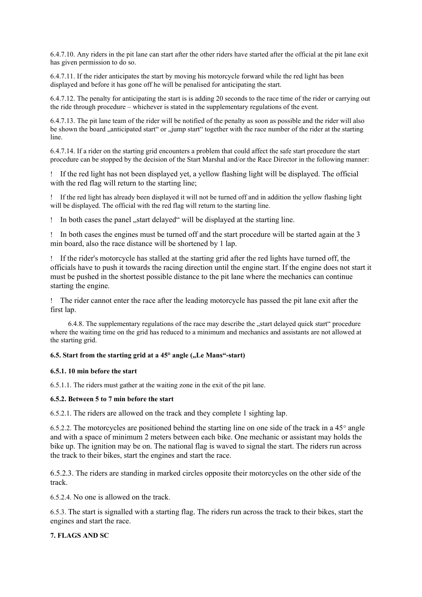6.4.7.10. Any riders in the pit lane can start after the other riders have started after the official at the pit lane exit has given permission to do so.

6.4.7.11. If the rider anticipates the start by moving his motorcycle forward while the red light has been displayed and before it has gone off he will be penalised for anticipating the start.

6.4.7.12. The penalty for anticipating the start is is adding 20 seconds to the race time of the rider or carrying out the ride through procedure – whichever is stated in the supplementary regulations of the event.

6.4.7.13. The pit lane team of the rider will be notified of the penalty as soon as possible and the rider will also be shown the board anticipated start" or "jump start" together with the race number of the rider at the starting line.

6.4.7.14. If a rider on the starting grid encounters a problem that could affect the safe start procedure the start procedure can be stopped by the decision of the Start Marshal and/or the Race Director in the following manner:

 If the red light has not been displayed yet, a yellow flashing light will be displayed. The official with the red flag will return to the starting line;

 If the red light has already been displayed it will not be turned off and in addition the yellow flashing light will be displayed. The official with the red flag will return to the starting line.

In both cases the panel "start delayed" will be displayed at the starting line.

 In both cases the engines must be turned off and the start procedure will be started again at the 3 min board, also the race distance will be shortened by 1 lap.

 If the rider's motorcycle has stalled at the starting grid after the red lights have turned off, the officials have to push it towards the racing direction until the engine start. If the engine does not start it must be pushed in the shortest possible distance to the pit lane where the mechanics can continue starting the engine.

 The rider cannot enter the race after the leading motorcycle has passed the pit lane exit after the first lap.

6.4.8. The supplementary regulations of the race may describe the "start delayed quick start" procedure where the waiting time on the grid has reduced to a minimum and mechanics and assistants are not allowed at the starting grid.

# **6.5.** Start from the starting grid at a 45° angle ("Le Mans"-start)

# **6.5.1. 10 min before the start**

6.5.1.1. The riders must gather at the waiting zone in the exit of the pit lane.

# **6.5.2. Between 5 to 7 min before the start**

6.5.2.1. The riders are allowed on the track and they complete 1 sighting lap.

6.5.2.2. The motorcycles are positioned behind the starting line on one side of the track in a 45° angle and with a space of minimum 2 meters between each bike. One mechanic or assistant may holds the bike up. The ignition may be on. The national flag is waved to signal the start. The riders run across the track to their bikes, start the engines and start the race.

6.5.2.3. The riders are standing in marked circles opposite their motorcycles on the other side of the track.

6.5.2.4. No one is allowed on the track.

6.5.3. The start is signalled with a starting flag. The riders run across the track to their bikes, start the engines and start the race.

# **7. FLAGS AND SC**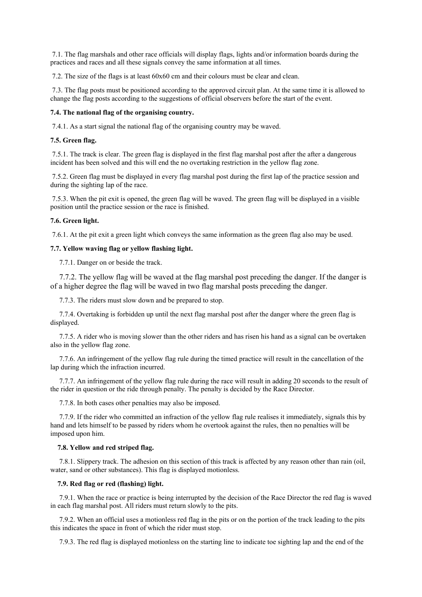7.1. The flag marshals and other race officials will display flags, lights and/or information boards during the practices and races and all these signals convey the same information at all times.

7.2. The size of the flags is at least 60x60 cm and their colours must be clear and clean.

 7.3. The flag posts must be positioned according to the approved circuit plan. At the same time it is allowed to change the flag posts according to the suggestions of official observers before the start of the event.

### **7.4. The national flag of the organising country.**

7.4.1. As a start signal the national flag of the organising country may be waved.

### **7.5. Green flag.**

 7.5.1. The track is clear. The green flag is displayed in the first flag marshal post after the after a dangerous incident has been solved and this will end the no overtaking restriction in the yellow flag zone.

 7.5.2. Green flag must be displayed in every flag marshal post during the first lap of the practice session and during the sighting lap of the race.

 7.5.3. When the pit exit is opened, the green flag will be waved. The green flag will be displayed in a visible position until the practice session or the race is finished.

### **7.6. Green light.**

7.6.1. At the pit exit a green light which conveys the same information as the green flag also may be used.

#### **7.7. Yellow waving flag or yellow flashing light.**

7.7.1. Danger on or beside the track.

 7.7.2. The yellow flag will be waved at the flag marshal post preceding the danger. If the danger is of a higher degree the flag will be waved in two flag marshal posts preceding the danger.

7.7.3. The riders must slow down and be prepared to stop.

 7.7.4. Overtaking is forbidden up until the next flag marshal post after the danger where the green flag is displayed.

 7.7.5. A rider who is moving slower than the other riders and has risen his hand as a signal can be overtaken also in the yellow flag zone.

 7.7.6. An infringement of the yellow flag rule during the timed practice will result in the cancellation of the lap during which the infraction incurred.

 7.7.7. An infringement of the yellow flag rule during the race will result in adding 20 seconds to the result of the rider in question or the ride through penalty. The penalty is decided by the Race Director.

7.7.8. In both cases other penalties may also be imposed.

 7.7.9. If the rider who committed an infraction of the yellow flag rule realises it immediately, signals this by hand and lets himself to be passed by riders whom he overtook against the rules, then no penalties will be imposed upon him.

### **7.8. Yellow and red striped flag.**

 7.8.1. Slippery track. The adhesion on this section of this track is affected by any reason other than rain (oil, water, sand or other substances). This flag is displayed motionless.

#### **7.9. Red flag or red (flashing) light.**

 7.9.1. When the race or practice is being interrupted by the decision of the Race Director the red flag is waved in each flag marshal post. All riders must return slowly to the pits.

 7.9.2. When an official uses a motionless red flag in the pits or on the portion of the track leading to the pits this indicates the space in front of which the rider must stop.

7.9.3. The red flag is displayed motionless on the starting line to indicate toe sighting lap and the end of the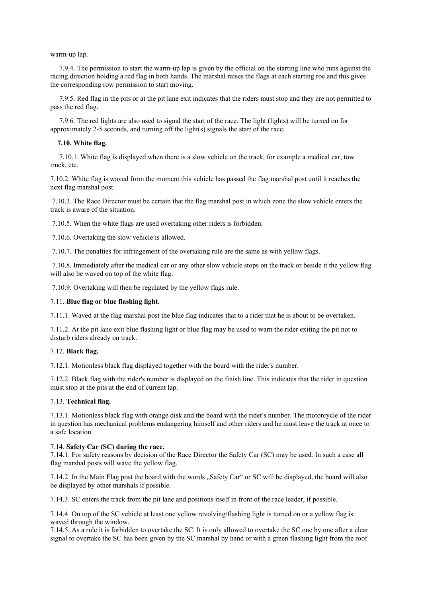#### warm-up lap.

 7.9.4. The permission to start the warm-up lap is given by the official on the starting line who runs against the racing direction holding a red flag in both hands. The marshal raises the flags at each starting roe and this gives the corresponding row permission to start moving.

 7.9.5. Red flag in the pits or at the pit lane exit indicates that the riders must stop and they are not permitted to pass the red flag.

 7.9.6. The red lights are also used to signal the start of the race. The light (lights) will be turned on for approximately 2-5 seconds, and turning off the light(s) signals the start of the race.

#### **7.10. White flag.**

 7.10.1. White flag is displayed when there is a slow vehicle on the track, for example a medical car, tow truck, etc.

7.10.2. White flag is waved from the moment this vehicle has passed the flag marshal post until it reaches the next flag marshal post.

 7.10.3. The Race Director must be certain that the flag marshal post in which zone the slow vehicle enters the track is aware of the situation.

7.10.5. When the white flags are used overtaking other riders is forbidden.

7.10.6. Overtaking the slow vehicle is allowed.

7.10.7. The penalties for infringement of the overtaking rule are the same as with yellow flags.

 7.10.8. Immediately after the medical car or any other slow vehicle stops on the track or beside it the yellow flag will also be waved on top of the white flag.

7.10.9. Overtaking will then be regulated by the yellow flags rule.

# 7.11. **Blue flag or blue flashing light.**

7.11.1. Waved at the flag marshal post the blue flag indicates that to a rider that he is about to be overtaken.

7.11.2. At the pit lane exit blue flashing light or blue flag may be used to warn the rider exiting the pit not to disturb riders already on track.

#### 7.12. **Black flag.**

7.12.1. Motionless black flag displayed together with the board with the rider's number.

7.12.2. Black flag with the rider's number is displayed on the finish line. This indicates that the rider in question must stop at the pits at the end of current lap.

#### 7.13. **Technical flag.**

7.13.1. Motionless black flag with orange disk and the board with the rider's number. The motorcycle of the rider in question has mechanical problems endangering himself and other riders and he must leave the track at once to a safe location.

### 7.14. **Safety Car (SC) during the race.**

7.14.1. For safety reasons by decision of the Race Director the Safety Car (SC) may be used. In such a case all flag marshal posts will wave the yellow flag.

7.14.2. In the Main Flag post the board with the words "Safety Car" or SC will be displayed, the board will also be displayed by other marshals if possible.

7.14.3. SC enters the track from the pit lane and positions itself in front of the race leader, if possible.

7.14.4. On top of the SC vehicle at least one yellow revolving/flashing light is turned on or a yellow flag is waved through the window.

7.14.5. As a rule it is forbidden to overtake the SC. It is only allowed to overtake the SC one by one after a clear signal to overtake the SC has been given by the SC marshal by hand or with a green flashing light from the roof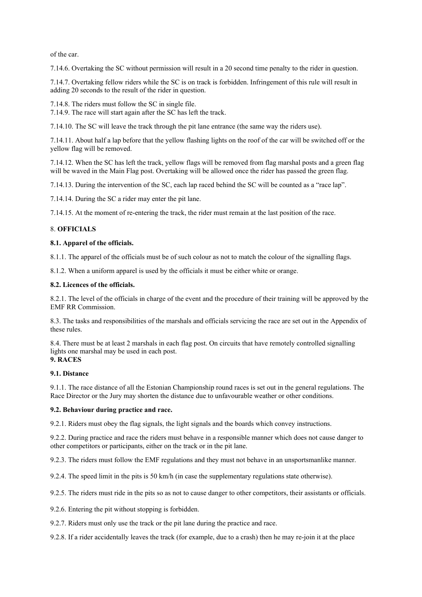of the car.

7.14.6. Overtaking the SC without permission will result in a 20 second time penalty to the rider in question.

7.14.7. Overtaking fellow riders while the SC is on track is forbidden. Infringement of this rule will result in adding 20 seconds to the result of the rider in question.

7.14.8. The riders must follow the SC in single file. 7.14.9. The race will start again after the SC has left the track.

7.14.10. The SC will leave the track through the pit lane entrance (the same way the riders use).

7.14.11. About half a lap before that the yellow flashing lights on the roof of the car will be switched off or the yellow flag will be removed.

7.14.12. When the SC has left the track, yellow flags will be removed from flag marshal posts and a green flag will be waved in the Main Flag post. Overtaking will be allowed once the rider has passed the green flag.

7.14.13. During the intervention of the SC, each lap raced behind the SC will be counted as a "race lap".

7.14.14. During the SC a rider may enter the pit lane.

7.14.15. At the moment of re-entering the track, the rider must remain at the last position of the race.

# 8. **OFFICIALS**

### **8.1. Apparel of the officials.**

8.1.1. The apparel of the officials must be of such colour as not to match the colour of the signalling flags.

8.1.2. When a uniform apparel is used by the officials it must be either white or orange.

### **8.2. Licences of the officials.**

8.2.1. The level of the officials in charge of the event and the procedure of their training will be approved by the EMF RR Commission.

8.3. The tasks and responsibilities of the marshals and officials servicing the race are set out in the Appendix of these rules.

8.4. There must be at least 2 marshals in each flag post. On circuits that have remotely controlled signalling lights one marshal may be used in each post. **9. RACES** 

# **9.1. Distance**

9.1.1. The race distance of all the Estonian Championship round races is set out in the general regulations. The Race Director or the Jury may shorten the distance due to unfavourable weather or other conditions.

#### **9.2. Behaviour during practice and race.**

9.2.1. Riders must obey the flag signals, the light signals and the boards which convey instructions.

9.2.2. During practice and race the riders must behave in a responsible manner which does not cause danger to other competitors or participants, either on the track or in the pit lane.

9.2.3. The riders must follow the EMF regulations and they must not behave in an unsportsmanlike manner.

9.2.4. The speed limit in the pits is 50 km/h (in case the supplementary regulations state otherwise).

9.2.5. The riders must ride in the pits so as not to cause danger to other competitors, their assistants or officials.

9.2.6. Entering the pit without stopping is forbidden.

9.2.7. Riders must only use the track or the pit lane during the practice and race.

9.2.8. If a rider accidentally leaves the track (for example, due to a crash) then he may re-join it at the place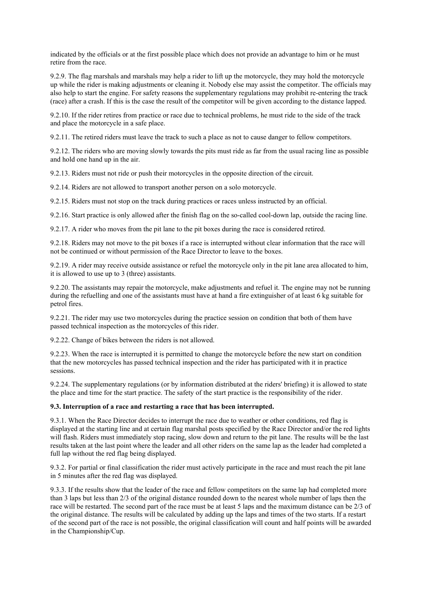indicated by the officials or at the first possible place which does not provide an advantage to him or he must retire from the race.

9.2.9. The flag marshals and marshals may help a rider to lift up the motorcycle, they may hold the motorcycle up while the rider is making adjustments or cleaning it. Nobody else may assist the competitor. The officials may also help to start the engine. For safety reasons the supplementary regulations may prohibit re-entering the track (race) after a crash. If this is the case the result of the competitor will be given according to the distance lapped.

9.2.10. If the rider retires from practice or race due to technical problems, he must ride to the side of the track and place the motorcycle in a safe place.

9.2.11. The retired riders must leave the track to such a place as not to cause danger to fellow competitors.

9.2.12. The riders who are moving slowly towards the pits must ride as far from the usual racing line as possible and hold one hand up in the air.

9.2.13. Riders must not ride or push their motorcycles in the opposite direction of the circuit.

9.2.14. Riders are not allowed to transport another person on a solo motorcycle.

9.2.15. Riders must not stop on the track during practices or races unless instructed by an official.

9.2.16. Start practice is only allowed after the finish flag on the so-called cool-down lap, outside the racing line.

9.2.17. A rider who moves from the pit lane to the pit boxes during the race is considered retired.

9.2.18. Riders may not move to the pit boxes if a race is interrupted without clear information that the race will not be continued or without permission of the Race Director to leave to the boxes.

9.2.19. A rider may receive outside assistance or refuel the motorcycle only in the pit lane area allocated to him, it is allowed to use up to 3 (three) assistants.

9.2.20. The assistants may repair the motorcycle, make adjustments and refuel it. The engine may not be running during the refuelling and one of the assistants must have at hand a fire extinguisher of at least 6 kg suitable for petrol fires.

9.2.21. The rider may use two motorcycles during the practice session on condition that both of them have passed technical inspection as the motorcycles of this rider.

9.2.22. Change of bikes between the riders is not allowed.

9.2.23. When the race is interrupted it is permitted to change the motorcycle before the new start on condition that the new motorcycles has passed technical inspection and the rider has participated with it in practice sessions.

9.2.24. The supplementary regulations (or by information distributed at the riders' briefing) it is allowed to state the place and time for the start practice. The safety of the start practice is the responsibility of the rider.

### **9.3. Interruption of a race and restarting a race that has been interrupted.**

9.3.1. When the Race Director decides to interrupt the race due to weather or other conditions, red flag is displayed at the starting line and at certain flag marshal posts specified by the Race Director and/or the red lights will flash. Riders must immediately stop racing, slow down and return to the pit lane. The results will be the last results taken at the last point where the leader and all other riders on the same lap as the leader had completed a full lap without the red flag being displayed.

9.3.2. For partial or final classification the rider must actively participate in the race and must reach the pit lane in 5 minutes after the red flag was displayed.

9.3.3. If the results show that the leader of the race and fellow competitors on the same lap had completed more than 3 laps but less than 2/3 of the original distance rounded down to the nearest whole number of laps then the race will be restarted. The second part of the race must be at least 5 laps and the maximum distance can be 2/3 of the original distance. The results will be calculated by adding up the laps and times of the two starts. If a restart of the second part of the race is not possible, the original classification will count and half points will be awarded in the Championship/Cup.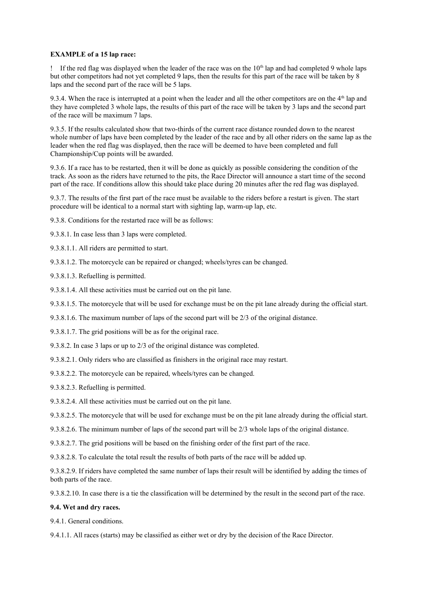# **EXAMPLE of a 15 lap race:**

If the red flag was displayed when the leader of the race was on the  $10<sup>th</sup>$  lap and had completed 9 whole laps but other competitors had not yet completed 9 laps, then the results for this part of the race will be taken by 8 laps and the second part of the race will be 5 laps.

9.3.4. When the race is interrupted at a point when the leader and all the other competitors are on the  $4<sup>th</sup>$  lap and they have completed 3 whole laps, the results of this part of the race will be taken by 3 laps and the second part of the race will be maximum 7 laps.

9.3.5. If the results calculated show that two-thirds of the current race distance rounded down to the nearest whole number of laps have been completed by the leader of the race and by all other riders on the same lap as the leader when the red flag was displayed, then the race will be deemed to have been completed and full Championship/Cup points will be awarded.

9.3.6. If a race has to be restarted, then it will be done as quickly as possible considering the condition of the track. As soon as the riders have returned to the pits, the Race Director will announce a start time of the second part of the race. If conditions allow this should take place during 20 minutes after the red flag was displayed.

9.3.7. The results of the first part of the race must be available to the riders before a restart is given. The start procedure will be identical to a normal start with sighting lap, warm-up lap, etc.

9.3.8. Conditions for the restarted race will be as follows:

9.3.8.1. In case less than 3 laps were completed.

9.3.8.1.1. All riders are permitted to start.

9.3.8.1.2. The motorcycle can be repaired or changed; wheels/tyres can be changed.

- 9.3.8.1.3. Refuelling is permitted.
- 9.3.8.1.4. All these activities must be carried out on the pit lane.

9.3.8.1.5. The motorcycle that will be used for exchange must be on the pit lane already during the official start.

9.3.8.1.6. The maximum number of laps of the second part will be 2/3 of the original distance.

9.3.8.1.7. The grid positions will be as for the original race.

9.3.8.2. In case 3 laps or up to 2/3 of the original distance was completed.

9.3.8.2.1. Only riders who are classified as finishers in the original race may restart.

9.3.8.2.2. The motorcycle can be repaired, wheels/tyres can be changed.

9.3.8.2.3. Refuelling is permitted.

9.3.8.2.4. All these activities must be carried out on the pit lane.

9.3.8.2.5. The motorcycle that will be used for exchange must be on the pit lane already during the official start.

9.3.8.2.6. The minimum number of laps of the second part will be 2/3 whole laps of the original distance.

9.3.8.2.7. The grid positions will be based on the finishing order of the first part of the race.

9.3.8.2.8. To calculate the total result the results of both parts of the race will be added up.

9.3.8.2.9. If riders have completed the same number of laps their result will be identified by adding the times of both parts of the race.

9.3.8.2.10. In case there is a tie the classification will be determined by the result in the second part of the race.

# **9.4. Wet and dry races.**

9.4.1. General conditions.

9.4.1.1. All races (starts) may be classified as either wet or dry by the decision of the Race Director.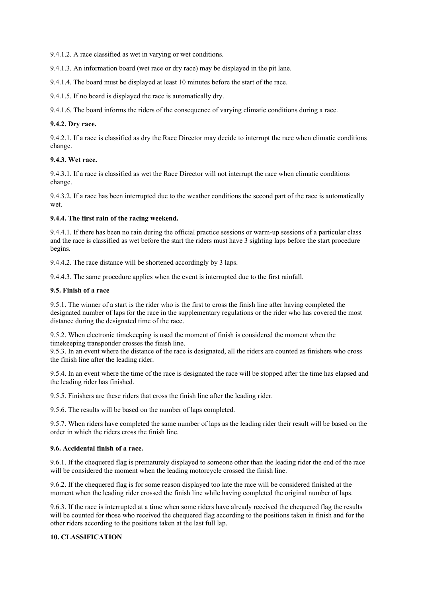9.4.1.2. A race classified as wet in varying or wet conditions.

9.4.1.3. An information board (wet race or dry race) may be displayed in the pit lane.

9.4.1.4. The board must be displayed at least 10 minutes before the start of the race.

9.4.1.5. If no board is displayed the race is automatically dry.

9.4.1.6. The board informs the riders of the consequence of varying climatic conditions during a race.

# **9.4.2. Dry race.**

9.4.2.1. If a race is classified as dry the Race Director may decide to interrupt the race when climatic conditions change.

# **9.4.3. Wet race.**

9.4.3.1. If a race is classified as wet the Race Director will not interrupt the race when climatic conditions change.

9.4.3.2. If a race has been interrupted due to the weather conditions the second part of the race is automatically wet.

# **9.4.4. The first rain of the racing weekend.**

9.4.4.1. If there has been no rain during the official practice sessions or warm-up sessions of a particular class and the race is classified as wet before the start the riders must have 3 sighting laps before the start procedure begins.

9.4.4.2. The race distance will be shortened accordingly by 3 laps.

9.4.4.3. The same procedure applies when the event is interrupted due to the first rainfall.

# **9.5. Finish of a race**

9.5.1. The winner of a start is the rider who is the first to cross the finish line after having completed the designated number of laps for the race in the supplementary regulations or the rider who has covered the most distance during the designated time of the race.

9.5.2. When electronic timekeeping is used the moment of finish is considered the moment when the timekeeping transponder crosses the finish line.

9.5.3. In an event where the distance of the race is designated, all the riders are counted as finishers who cross the finish line after the leading rider.

9.5.4. In an event where the time of the race is designated the race will be stopped after the time has elapsed and the leading rider has finished.

9.5.5. Finishers are these riders that cross the finish line after the leading rider.

9.5.6. The results will be based on the number of laps completed.

9.5.7. When riders have completed the same number of laps as the leading rider their result will be based on the order in which the riders cross the finish line.

# **9.6. Accidental finish of a race.**

9.6.1. If the chequered flag is prematurely displayed to someone other than the leading rider the end of the race will be considered the moment when the leading motorcycle crossed the finish line.

9.6.2. If the chequered flag is for some reason displayed too late the race will be considered finished at the moment when the leading rider crossed the finish line while having completed the original number of laps.

9.6.3. If the race is interrupted at a time when some riders have already received the chequered flag the results will be counted for those who received the chequered flag according to the positions taken in finish and for the other riders according to the positions taken at the last full lap.

# **10. CLASSIFICATION**